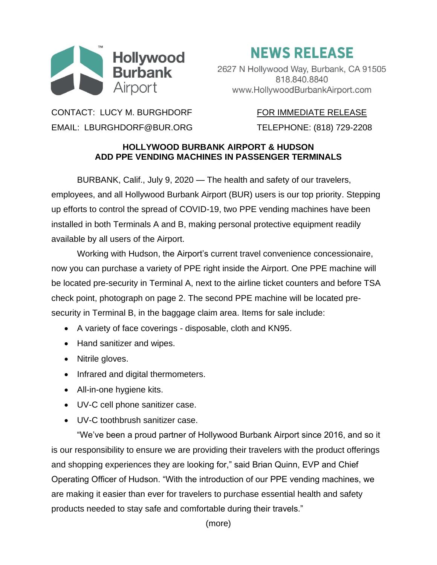

## **NEWS RELEASE**

2627 N Hollywood Way, Burbank, CA 91505 818.840.8840 www.HollywoodBurbankAirport.com

CONTACT: LUCY M. BURGHDORF FOR IMMEDIATE RELEASE EMAIL: LBURGHDORF@BUR.ORG TELEPHONE: (818) 729-2208

## **HOLLYWOOD BURBANK AIRPORT & HUDSON ADD PPE VENDING MACHINES IN PASSENGER TERMINALS**

BURBANK, Calif., July 9, 2020 — The health and safety of our travelers, employees, and all Hollywood Burbank Airport (BUR) users is our top priority. Stepping up efforts to control the spread of COVID-19, two PPE vending machines have been installed in both Terminals A and B, making personal protective equipment readily available by all users of the Airport.

Working with Hudson, the Airport's current travel convenience concessionaire, now you can purchase a variety of PPE right inside the Airport. One PPE machine will be located pre-security in Terminal A, next to the airline ticket counters and before TSA check point, photograph on page 2. The second PPE machine will be located presecurity in Terminal B, in the baggage claim area. Items for sale include:

- A variety of face coverings disposable, cloth and KN95.
- Hand sanitizer and wipes.
- Nitrile gloves.
- Infrared and digital thermometers.
- All-in-one hygiene kits.
- UV-C cell phone sanitizer case.
- UV-C toothbrush sanitizer case.

"We've been a proud partner of Hollywood Burbank Airport since 2016, and so it is our responsibility to ensure we are providing their travelers with the product offerings and shopping experiences they are looking for," said Brian Quinn, EVP and Chief Operating Officer of Hudson. "With the introduction of our PPE vending machines, we are making it easier than ever for travelers to purchase essential health and safety products needed to stay safe and comfortable during their travels."

(more)